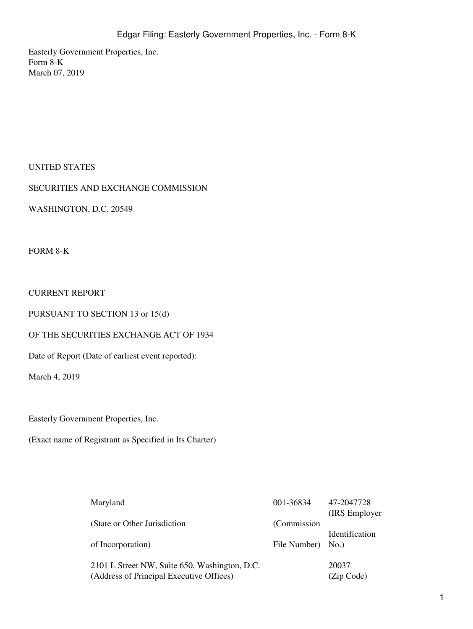Easterly Government Properties, Inc. Form 8-K March 07, 2019

## UNITED STATES

## SECURITIES AND EXCHANGE COMMISSION

WASHINGTON, D.C. 20549

FORM 8-K

## CURRENT REPORT

PURSUANT TO SECTION 13 or 15(d)

### OF THE SECURITIES EXCHANGE ACT OF 1934

Date of Report (Date of earliest event reported):

March 4, 2019

Easterly Government Properties, Inc.

(Exact name of Registrant as Specified in Its Charter)

| Maryland                                      | 001-36834    | 47-2047728     |
|-----------------------------------------------|--------------|----------------|
|                                               |              | (IRS Employer) |
| (State or Other Jurisdiction)                 | (Commission) |                |
|                                               |              | Identification |
| of Incorporation)                             | File Number) | No.)           |
|                                               |              |                |
| 2101 L Street NW, Suite 650, Washington, D.C. |              | 20037          |
| (Address of Principal Executive Offices)      |              | (Zip Code)     |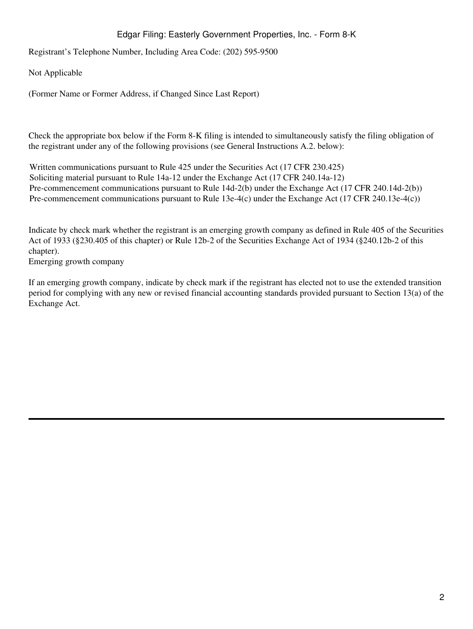## Edgar Filing: Easterly Government Properties, Inc. - Form 8-K

Registrant's Telephone Number, Including Area Code: (202) 595-9500

Not Applicable

(Former Name or Former Address, if Changed Since Last Report)

Check the appropriate box below if the Form 8-K filing is intended to simultaneously satisfy the filing obligation of the registrant under any of the following provisions (see General Instructions A.2. below):

Written communications pursuant to Rule 425 under the Securities Act (17 CFR 230.425) Soliciting material pursuant to Rule 14a-12 under the Exchange Act (17 CFR 240.14a-12) Pre-commencement communications pursuant to Rule 14d-2(b) under the Exchange Act (17 CFR 240.14d-2(b)) Pre-commencement communications pursuant to Rule 13e-4(c) under the Exchange Act (17 CFR 240.13e-4(c))

Indicate by check mark whether the registrant is an emerging growth company as defined in Rule 405 of the Securities Act of 1933 (§230.405 of this chapter) or Rule 12b-2 of the Securities Exchange Act of 1934 (§240.12b-2 of this chapter).

Emerging growth company

If an emerging growth company, indicate by check mark if the registrant has elected not to use the extended transition period for complying with any new or revised financial accounting standards provided pursuant to Section 13(a) of the Exchange Act.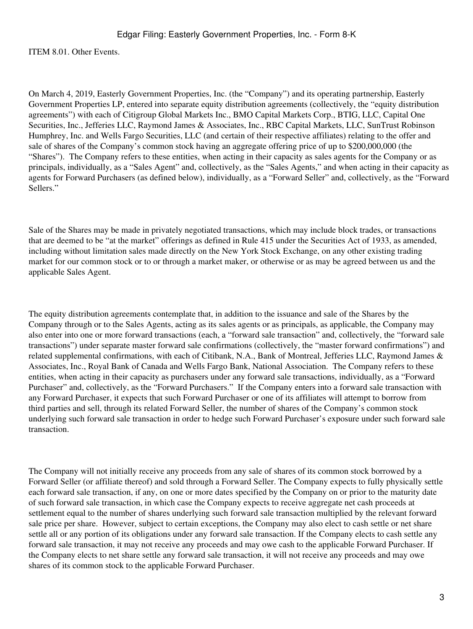ITEM 8.01. Other Events.

On March 4, 2019, Easterly Government Properties, Inc. (the "Company") and its operating partnership, Easterly Government Properties LP, entered into separate equity distribution agreements (collectively, the "equity distribution agreements") with each of Citigroup Global Markets Inc., BMO Capital Markets Corp., BTIG, LLC, Capital One Securities, Inc., Jefferies LLC, Raymond James & Associates, Inc., RBC Capital Markets, LLC, SunTrust Robinson Humphrey, Inc. and Wells Fargo Securities, LLC (and certain of their respective affiliates) relating to the offer and sale of shares of the Company's common stock having an aggregate offering price of up to \$200,000,000 (the "Shares"). The Company refers to these entities, when acting in their capacity as sales agents for the Company or as principals, individually, as a "Sales Agent" and, collectively, as the "Sales Agents," and when acting in their capacity as agents for Forward Purchasers (as defined below), individually, as a "Forward Seller" and, collectively, as the "Forward Sellers."

Sale of the Shares may be made in privately negotiated transactions, which may include block trades, or transactions that are deemed to be "at the market" offerings as defined in Rule 415 under the Securities Act of 1933, as amended, including without limitation sales made directly on the New York Stock Exchange, on any other existing trading market for our common stock or to or through a market maker, or otherwise or as may be agreed between us and the applicable Sales Agent.

The equity distribution agreements contemplate that, in addition to the issuance and sale of the Shares by the Company through or to the Sales Agents, acting as its sales agents or as principals, as applicable, the Company may also enter into one or more forward transactions (each, a "forward sale transaction" and, collectively, the "forward sale transactions") under separate master forward sale confirmations (collectively, the "master forward confirmations") and related supplemental confirmations, with each of Citibank, N.A., Bank of Montreal, Jefferies LLC, Raymond James & Associates, Inc., Royal Bank of Canada and Wells Fargo Bank, National Association. The Company refers to these entities, when acting in their capacity as purchasers under any forward sale transactions, individually, as a "Forward Purchaser" and, collectively, as the "Forward Purchasers." If the Company enters into a forward sale transaction with any Forward Purchaser, it expects that such Forward Purchaser or one of its affiliates will attempt to borrow from third parties and sell, through its related Forward Seller, the number of shares of the Company's common stock underlying such forward sale transaction in order to hedge such Forward Purchaser's exposure under such forward sale transaction.

The Company will not initially receive any proceeds from any sale of shares of its common stock borrowed by a Forward Seller (or affiliate thereof) and sold through a Forward Seller. The Company expects to fully physically settle each forward sale transaction, if any, on one or more dates specified by the Company on or prior to the maturity date of such forward sale transaction, in which case the Company expects to receive aggregate net cash proceeds at settlement equal to the number of shares underlying such forward sale transaction multiplied by the relevant forward sale price per share. However, subject to certain exceptions, the Company may also elect to cash settle or net share settle all or any portion of its obligations under any forward sale transaction. If the Company elects to cash settle any forward sale transaction, it may not receive any proceeds and may owe cash to the applicable Forward Purchaser. If the Company elects to net share settle any forward sale transaction, it will not receive any proceeds and may owe shares of its common stock to the applicable Forward Purchaser.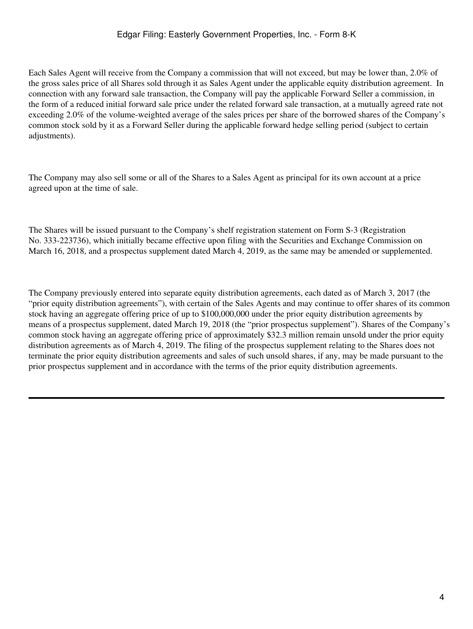Each Sales Agent will receive from the Company a commission that will not exceed, but may be lower than, 2.0% of the gross sales price of all Shares sold through it as Sales Agent under the applicable equity distribution agreement. In connection with any forward sale transaction, the Company will pay the applicable Forward Seller a commission, in the form of a reduced initial forward sale price under the related forward sale transaction, at a mutually agreed rate not exceeding 2.0% of the volume-weighted average of the sales prices per share of the borrowed shares of the Company's common stock sold by it as a Forward Seller during the applicable forward hedge selling period (subject to certain adjustments).

The Company may also sell some or all of the Shares to a Sales Agent as principal for its own account at a price agreed upon at the time of sale.

The Shares will be issued pursuant to the Company's shelf registration statement on Form S-3 (Registration No. 333-223736), which initially became effective upon filing with the Securities and Exchange Commission on March 16, 2018, and a prospectus supplement dated March 4, 2019, as the same may be amended or supplemented.

The Company previously entered into separate equity distribution agreements, each dated as of March 3, 2017 (the "prior equity distribution agreements"), with certain of the Sales Agents and may continue to offer shares of its common stock having an aggregate offering price of up to \$100,000,000 under the prior equity distribution agreements by means of a prospectus supplement, dated March 19, 2018 (the "prior prospectus supplement"). Shares of the Company's common stock having an aggregate offering price of approximately \$32.3 million remain unsold under the prior equity distribution agreements as of March 4, 2019. The filing of the prospectus supplement relating to the Shares does not terminate the prior equity distribution agreements and sales of such unsold shares, if any, may be made pursuant to the prior prospectus supplement and in accordance with the terms of the prior equity distribution agreements.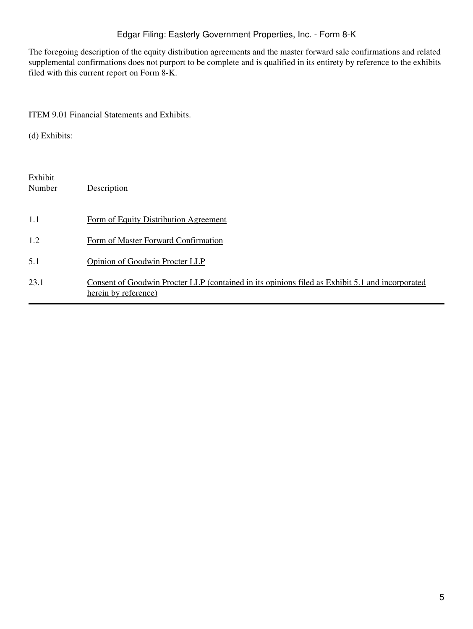# Edgar Filing: Easterly Government Properties, Inc. - Form 8-K

The foregoing description of the equity distribution agreements and the master forward sale confirmations and related supplemental confirmations does not purport to be complete and is qualified in its entirety by reference to the exhibits filed with this current report on Form 8-K.

### ITEM 9.01 Financial Statements and Exhibits.

(d) Exhibits:

| Exhibit<br>Number | Description                                                                                                             |
|-------------------|-------------------------------------------------------------------------------------------------------------------------|
| 1.1               | Form of Equity Distribution Agreement                                                                                   |
| 1.2               | Form of Master Forward Confirmation                                                                                     |
| 5.1               | <b>Opinion of Goodwin Procter LLP</b>                                                                                   |
| 23.1              | Consent of Goodwin Procter LLP (contained in its opinions filed as Exhibit 5.1 and incorporated<br>herein by reference) |